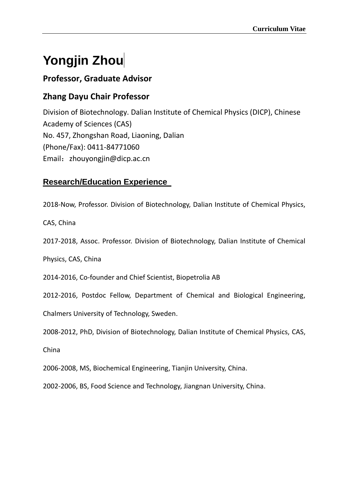# **Yongjin Zhou**

# **Professor, Graduate Advisor**

# **Zhang Dayu Chair Professor**

Division of Biotechnology. Dalian Institute of Chemical Physics (DICP), Chinese Academy of Sciences (CAS) No. 457, Zhongshan Road, Liaoning, Dalian (Phone/Fax): 0411-84771060 Email: zhouyongjin@dicp.ac.cn

# **Research/Education Experience**

2018-Now, Professor. Division of Biotechnology, Dalian Institute of Chemical Physics,

CAS, China

2017-2018, Assoc. Professor. Division of Biotechnology, Dalian Institute of Chemical

Physics, CAS, China

2014-2016, Co-founder and Chief Scientist, Biopetrolia AB

2012-2016, Postdoc Fellow, Department of Chemical and Biological Engineering,

Chalmers University of Technology, Sweden.

2008-2012, PhD, Division of Biotechnology, Dalian Institute of Chemical Physics, CAS,

China

2006-2008, MS, Biochemical Engineering, Tianjin University, China.

2002-2006, BS, Food Science and Technology, Jiangnan University, China.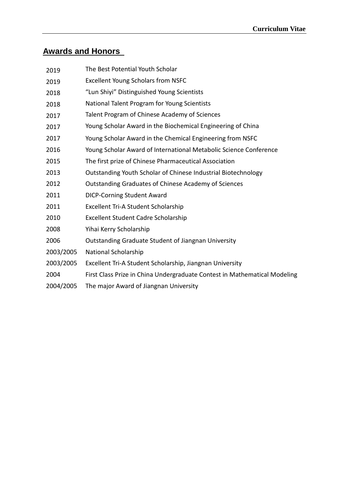# **Awards and Honors**

| 2019      | The Best Potential Youth Scholar                                          |
|-----------|---------------------------------------------------------------------------|
| 2019      | <b>Excellent Young Scholars from NSFC</b>                                 |
| 2018      | "Lun Shiyi" Distinguished Young Scientists                                |
| 2018      | National Talent Program for Young Scientists                              |
| 2017      | Talent Program of Chinese Academy of Sciences                             |
| 2017      | Young Scholar Award in the Biochemical Engineering of China               |
| 2017      | Young Scholar Award in the Chemical Engineering from NSFC                 |
| 2016      | Young Scholar Award of International Metabolic Science Conference         |
| 2015      | The first prize of Chinese Pharmaceutical Association                     |
| 2013      | Outstanding Youth Scholar of Chinese Industrial Biotechnology             |
| 2012      | Outstanding Graduates of Chinese Academy of Sciences                      |
| 2011      | <b>DICP-Corning Student Award</b>                                         |
| 2011      | Excellent Tri-A Student Scholarship                                       |
| 2010      | <b>Excellent Student Cadre Scholarship</b>                                |
| 2008      | Yihai Kerry Scholarship                                                   |
| 2006      | <b>Outstanding Graduate Student of Jiangnan University</b>                |
| 2003/2005 | National Scholarship                                                      |
| 2003/2005 | Excellent Tri-A Student Scholarship, Jiangnan University                  |
| 2004      | First Class Prize in China Undergraduate Contest in Mathematical Modeling |
| 2004/2005 | The major Award of Jiangnan University                                    |
|           |                                                                           |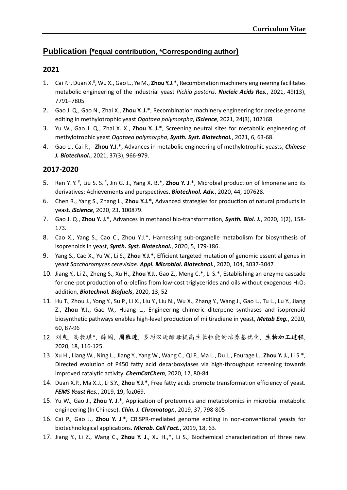#### **Publication ( #equal contribution, \*Corresponding author)**

#### **2021**

- 1. Cai P.<sup>#</sup>, Duan X.<sup>#</sup>, Wu X., Gao L., Ye M., **Zhou Y.J**.\*, Recombination machinery engineering facilitates metabolic engineering of the industrial yeast *Pichia pastoris*. *Nucleic Acids Res.*, 2021, 49(13), 7791–7805
- 2. Gao J. Q., Gao N., Zhai X., **Zhou Y. J.**\*, Recombination machinery engineering for precise genome editing in methylotrophic yeast *Ogataea polymorpha*, *iScience*, 2021, 24(3), 102168
- 3. Yu W., Gao J. Q., Zhai X. X., **Zhou Y. J.**\*, Screening neutral sites for metabolic engineering of methylotrophic yeast *Ogataea polymorpha*, *Synth. Syst. Biotechnol.*, 2021, 6, 63-68.
- 4. Gao L., Cai P.,**Zhou Y.J**.\*, Advances in metabolic engineering of methylotrophic yeasts, *Chinese J. Biotechnol***.**, 2021, 37(3), 966-979.

#### **2017-2020**

- 5. Ren Y. Y.<sup>#</sup>, Liu S. S.<sup>#</sup>, Jin G. J., Yang X. B.\*, **Zhou Y. J**.\*, Microbial production of limonene and its derivatives: Achievements and perspectives, *Biotechnol. Adv.*, 2020, 44, 107628.
- 6. Chen R., Yang S., Zhang L., **Zhou Y.J.\*,** Advanced strategies for production of natural products in yeast. *iScience*, 2020, 23, 100879.
- 7. Gao J. Q., **Zhou Y. J.**\*, Advances in methanol bio-transformation, *Synth. Biol. J.*, 2020, 1(2), 158- 173.
- 8. Cao X., Yang S., Cao C., Zhou Y.J.\*, Harnessing sub-organelle metabolism for biosynthesis of isoprenoids in yeast, *Synth. Syst. Biotechnol.*, 2020, 5, 179-186.
- 9. Yang S., Cao X., Yu W., Li S., **Zhou Y.J.\***, Efficient targeted mutation of genomic essential genes in yeast *Saccharomyces cerevisiae*. *Appl. Microbiol. Biotechnol.*, 2020, 104, 3037-3047
- 10. Jiang Y., Li Z., Zheng S., Xu H., **Zhou Y.J.**, Gao Z., Meng C.\*, Li S.\*, Establishing an enzyme cascade for one-pot production of  $\alpha$ -olefins from low-cost triglycerides and oils without exogenous H<sub>2</sub>O<sub>2</sub> addition, *Biotechnol. Biofuels*, 2020, 13, 52
- 11. Hu T., Zhou J., Yong Y., Su P., Li X., Liu Y., Liu N., Wu X., Zhang Y., Wang J., Gao L., Tu L., Lu Y., Jiang Z., **Zhou Y.J.**, Gao W., Huang L., Engineering chimeric diterpene synthases and isoprenoid biosynthetic pathways enables high-level production of miltiradiene in yeast, *Metab Eng.*, 2020, 60, 87-96
- 12. 刘爽, 高教琪\*, 薛闯, 周雍进, 多形汉逊酵母提高生长性能的培养基优化, 生物加工过程, 2020, 18, 116-125.
- 13. Xu H., Liang W., Ning L., Jiang Y., Yang W., Wang C., Qi F., Ma L., Du L., Fourage L., **Zhou Y. J.**, Li S.\*, Directed evolution of P450 fatty acid decarboxylases via high-throughput screening towards improved catalytic activity. *ChemCatChem*, 2020, 12, 80-84
- 14. Duan X.P., Ma X.J., Li S.Y., **Zhou Y.J.\***, Free fatty acids promote transformation efficiency of yeast. *FEMS Yeast Res.*, 2019, 19, foz069.
- 15. Yu W., Gao J., **Zhou Y. J**.\*, Application of proteomics and metabolomics in microbial metabolic engineering (In Chinese). *Chin. J. Chromatogr.*, 2019, 37, 798-805
- 16. Cai P., Gao J., **Zhou Y. J**.\*, CRISPR-mediated genome editing in non-conventional yeasts for biotechnological applications. *Microb. Cell Fact.***,** 2019, 18, 63.
- 17. Jiang Y., Li Z., Wang C., **Zhou Y. J**., Xu H.,\*, Li S., Biochemical characterization of three new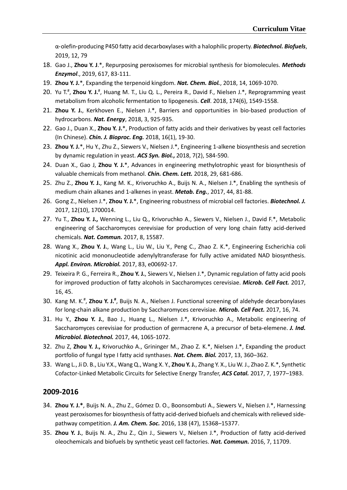α‑olefin‑producing P450 fatty acid decarboxylases with a halophilic property. *Biotechnol. Biofuels*, 2019, 12, 79

- 18. Gao J., **Zhou Y. J**.\*, Repurposing peroxisomes for microbial synthesis for biomolecules. *Methods Enzymol*., 2019, 617, 83-111.
- 19. **Zhou Y. J.**\*, Expanding the terpenoid kingdom. *Nat. Chem. Biol.*, 2018, 14, 1069-1070.
- 20. Yu T.<sup>#</sup>, Zhou Y. J.<sup>#</sup>, Huang M. T., Liu Q. L., Pereira R., David F., Nielsen J.\*, Reprogramming yeast metabolism from alcoholic fermentation to lipogenesis. *Cell*. 2018, 174(6), 1549-1558.
- 21. **Zhou Y. J.**, Kerkhoven E., Nielsen J.\*, Barriers and opportunities in bio-based production of hydrocarbons. *Nat. Energy*, 2018, 3, 925-935.
- 22. Gao J., Duan X., **Zhou Y. J.**\*, Production of fatty acids and their derivatives by yeast cell factories (In Chinese). *Chin. J. Bioproc. Eng.* 2018, 16(1), 19-30.
- 23. **Zhou Y. J.**\*, Hu Y., Zhu Z., Siewers V., Nielsen J.\*, Engineering 1-alkene biosynthesis and secretion by dynamic regulation in yeast. *ACS Syn. Biol.***,** 2018, 7(2), 584-590.
- 24. Duan X., Gao J, **Zhou Y. J.**\*, Advances in engineering methylotrophic yeast for biosynthesis of valuable chemicals from methanol. *Chin. Chem. Lett.* 2018, 29, 681-686.
- 25. Zhu Z., **Zhou Y. J.**, Kang M. K., Krivoruchko A., Buijs N. A., Nielsen J.\*, Enabling the synthesis of medium chain alkanes and 1-alkenes in yeast. *Metab. Eng.*, 2017, 44, 81-88.
- 26. Gong Z., Nielsen J.\*, **Zhou Y. J.**\*, Engineering robustness of microbial cell factories. *Biotechnol. J.*  2017, 12(10), 1700014.
- 27. Yu T., **Zhou Y. J.,** Wenning L., Liu Q., Krivoruchko A., Siewers V., Nielsen J., David F.\*, Metabolic engineering of Saccharomyces cerevisiae for production of very long chain fatty acid-derived chemicals. *Nat. Commun.* 2017, 8, 15587.
- 28. Wang X., **Zhou Y. J.**, Wang L., Liu W., Liu Y., Peng C., Zhao Z. K.\*, Engineering Escherichia coli nicotinic acid mononucleotide adenylyltransferase for fully active amidated NAD biosynthesis. *Appl. Environ. Microbiol.* 2017, 83, e00692-17.
- 29. Teixeira P. G., Ferreira R., **Zhou Y. J.**, Siewers V., Nielsen J.\*, Dynamic regulation of fatty acid pools for improved production of fatty alcohols in Saccharomyces cerevisiae. *Microb. Cell Fact.* 2017, 16, 45.
- 30. Kang M. K.<sup>#</sup>, Zhou Y. J.<sup>#</sup>, Buijs N. A., Nielsen J. Functional screening of aldehyde decarbonylases for long-chain alkane production by Saccharomyces cerevisiae. *Microb. Cell Fact.* 2017, 16, 74.
- 31. Hu Y., **Zhou Y. J.**, Bao J., Huang L., Nielsen J.\*, Krivoruchko A., Metabolic engineering of Saccharomyces cerevisiae for production of germacrene A, a precursor of beta-elemene. *J. Ind. Microbiol. Biotechnol.* 2017, 44, 1065-1072.
- 32. Zhu Z, **Zhou Y. J.,** Krivoruchko A., Grininger M., Zhao Z. K.\*, Nielsen J.\*, Expanding the product portfolio of fungal type I fatty acid synthases. *Nat. Chem. Biol.* 2017, 13, 360–362.
- 33. Wang L., Ji D. B., Liu Y.X., Wang Q., Wang X. Y., **Zhou Y. J.**, Zhang Y. X., Liu W. J., Zhao Z. K.\*, Synthetic Cofactor-Linked Metabolic Circuits for Selective Energy Transfer, *ACS Catal.* 2017, 7, 1977–1983.

#### **2009-2016**

- 34. **Zhou Y. J.\***, Buijs N. A., Zhu Z., Gómez D. O., Boonsombuti A., Siewers V., Nielsen J.\*, Harnessing yeast peroxisomes for biosynthesis of fatty acid-derived biofuels and chemicals with relieved sidepathway competition. *J. Am. Chem. Soc.* 2016, 138 (47), 15368–15377.
- 35. **Zhou Y. J.**, Buijs N. A., Zhu Z., Qin J., Siewers V., Nielsen J.\*, Production of fatty acid-derived oleochemicals and biofuels by synthetic yeast cell factories. *Nat. Commun.* 2016, 7, 11709.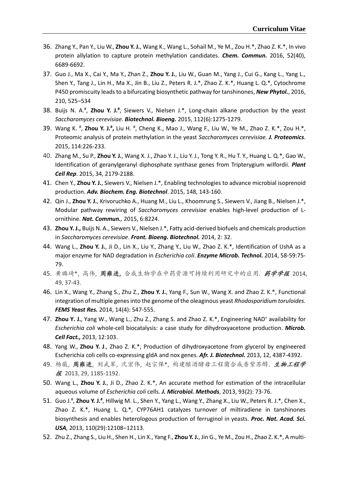- 36. Zhang Y., Pan Y., Liu W., **Zhou Y. J.**, Wang K., Wang L., Sohail M., Ye M., Zou H.\*, Zhao Z. K.\*, In vivo protein allylation to capture protein methylation candidates. *Chem. Commun.* 2016, 52(40), 6689-6692.
- 37. Guo J., Ma X., Cai Y., Ma Y., Zhan Z., **Zhou Y. J.**, Liu W., Guan M., Yang J., Cui G., Kang L., Yang L., Shen Y., Tang J., Lin H., Ma X., Jin B., Liu Z., Peters R. J.\*, Zhao Z. K.\*, Huang L. Q.\*, Cytochrome P450 promiscuity leads to a bifurcating biosynthetic pathway for tanshinones, *New Phytol.*, 2016, 210, 525–534
- 38. Buijs N. A.# , **Zhou Y. J.#** , Siewers V., Nielsen J.\*, Long-chain alkane production by the yeast *Saccharomyces cerevisiae. Biotechnol. Bioeng.* 2015, 112(6):1275-1279.
- 39. Wang K. <sup>#</sup>, **Zhou Y. J.<sup>#</sup>,** Liu H. <sup>#</sup>, Cheng K., Mao J., Wang F., Liu W., Ye M., Zhao Z. K.\*, Zou H.\*, Proteomic analysis of protein methylation in the yeast *Saccharomyces cerevisiae. J. Proteomics*. 2015, 114:226-233.
- 40. Zhang M., Su P., **Zhou Y. J.**, Wang X. J., Zhao Y. J., Liu Y. J., Tong Y. R., Hu T. Y., Huang L. Q.\*, Gao W., Identification of geranylgeranyl diphosphate synthase genes from Tripterygium wilfordii. *Plant Cell Rep*. 2015, 34, 2179-2188.
- 41. Chen Y., **Zhou Y. J.**, Siewers V., Nielsen J.\*, Enabling technologies to advance microbial isoprenoid production. *Adv. Biochem. Eng. Biotechnol*. 2015, 148, 143-160.
- 42. Qin J., **Zhou Y. J.**, Krivoruchko A., Huang M., Liu L., Khoomrung S., Siewers V., Jiang B., Nielsen J.\*, Modular pathway rewiring of *Saccharomyces cerevisiae* enables high-level production of Lornithine. *Nat. Commun.,* 2015, 6:8224.
- 43. **Zhou Y. J.,** Buijs N. A., Siewers V., Nielsen J.\*, Fatty acid-derived biofuels and chemicals production in *Saccharomyces cerevisiae*. *Front. Bioeng. Biotechnol.* 2014, 2: 32.
- 44. Wang L., **Zhou Y. J.**, Ji D., Lin X., Liu Y., Zhang Y., Liu W., Zhao Z. K.\*, Identification of UshA as a major enzyme for NAD degradation in *Escherichia coli*. *Enzyme Microb. Technol.* 2014, 58-59:75- 79.
- 45. 黄璐琦\*, 高伟, 周雍进**,** 合成生物学在中药资源可持续利用研究中的应用. 药学学报 2014, 49, 37-43.
- 46. Lin X., Wang Y., Zhang S., Zhu Z., **Zhou Y. J.**, Yang F., Sun W., Wang X. and Zhao Z. K.\*, Functional integration of multiple genes into the genome of the oleaginous yeast *Rhodosporidium toruloides. FEMS Yeast Res.* 2014, 14(4): 547-555.
- 47. Zhou Y. J., Yang W., Wang L., Zhu Z., Zhang S. and Zhao Z. K.\*, Engineering NAD<sup>+</sup> availability for *Escherichia coli* whole-cell biocatalysis: a case study for dihydroxyacetone production. *Microb. Cell Fact.,* 2013, 12:103.
- 48. Yang W., **Zhou Y. J**., Zhao Z. K.\*, Production of dihydroxyacetone from glycerol by engineered Escherichia coli cells co-expressing gldA and nox genes. *Afr. J. Biotechnol.* 2013, 12, 4387-4392.
- 49. 杨薇, 周雍进, 刘武军, 沈宏伟, 赵宗保\*, 构建酿酒酵母工程菌合成香紫苏醇. 生物工程学 报 2013, 29, 1185-1192.
- 50. Wang L., **Zhou Y. J.**, Ji D., Zhao Z. K.\*, An accurate method for estimation of the intracellular aqueous volume of *Escherichia coli* cells. *J. Microbiol. Methods*, 2013, 93(2): 73-76.
- 51. Guo J.<sup>#</sup>, Zhou Y. J.<sup>#</sup>, Hillwig M. L., Shen Y., Yang L., Wang Y., Zhang X., Liu W., Peters R. J.\*, Chen X., Zhao Z. K.\*, Huang L. Q.\*, CYP76AH1 catalyzes turnover of miltiradiene in tanshinones biosynthesis and enables heterologous production of ferruginol in yeasts. *Proc. Nat. Acad. Sci. USA,* 2013, 110(29):12108–12113.
- 52. Zhu Z., Zhang S., Liu H., Shen H., Lin X., Yang F., **Zhou Y. J.**, Jin G., Ye M., Zou H., Zhao Z. K.\*, A multi-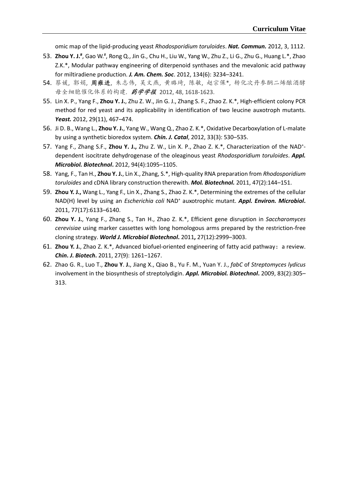omic map of the lipid-producing yeast *Rhodosporidium toruloides*. *Nat. Commun.* 2012, 3, 1112.

- 53. **Zhou Y. J.<sup>#</sup>,** Gao W.<sup>#</sup>, Rong Q., Jin G., Chu H., Liu W., Yang W., Zhu Z., Li G., Zhu G., Huang L.\*, Zhao Z.K.\*, Modular pathway engineering of diterpenoid synthases and the mevalonic acid pathway for miltiradiene production. *J. Am. Chem. Soc*. 2012, 134(6): 3234–3241.
- 54. 蔡媛, 郭娟, 周雍进, 朱志伟, 吴文燕, 黄璐琦, 陈敏, 赵宗保\*, 转化次丹参酮二烯酿酒酵 母全细胞催化体系的构建. 药学学报 2012, 48, 1618-1623.
- 55. Lin X. P., Yang F., **Zhou Y. J.**, Zhu Z. W., Jin G. J., Zhang S. F., Zhao Z. K.\*, High-efficient colony PCR method for red yeast and its applicability in identification of two leucine auxotroph mutants. *Yeast.* 2012, 29(11), 467–474.
- 56. Ji D. B., Wang L., **Zhou Y. J.**, Yang W., Wang Q., Zhao Z. K.\*, Oxidative Decarboxylation of L-malate by using a synthetic bioredox system. *Chin. J. Catal*, 2012, 33(3): 530–535.
- 57. Yang F., Zhang S.F., **Zhou Y. J.,** Zhu Z. W., Lin X. P., Zhao Z. K.\*, Characterization of the NAD<sup>+</sup> dependent isocitrate dehydrogenase of the oleaginous yeast *Rhodosporidium toruloides*. *Appl. Microbiol. Biotechnol***.** 2012, 94(4):1095–1105.
- 58. Yang, F., Tan H., **Zhou Y. J.**, Lin X., Zhang, S.\*, High-quality RNA preparation from *Rhodosporidium toruloides* and cDNA library construction therewith. *Mol. Biotechnol.* 2011, 47(2):144–151.
- 59. **Zhou Y. J.,** Wang L., Yang F., Lin X., Zhang S., Zhao Z. K.\*, Determining the extremes of the cellular NAD(H) level by using an *Escherichia coli* NAD<sup>+</sup> auxotrophic mutant. *Appl. Environ. Microbiol***.** 2011, 77(17):6133–6140.
- 60. **Zhou Y. J.**, Yang F., Zhang S., Tan H., Zhao Z. K.\*, Efficient gene disruption in *Saccharomyces cerevisiae* using marker cassettes with long homologous arms prepared by the restriction-free cloning strategy. *World J. Microbiol Biotechnol***.** 2011**,** 27(12):2999–3003.
- 61. **Zhou Y. J.**, Zhao Z. K.\*, Advanced biofuel-oriented engineering of fatty acid pathway:a review. *Chin***.** *J***.** *Biotech***.** 2011, 27(9): 1261−1267.
- 62. Zhao G. R., Luo T., **Zhou Y**. **J.**, Jiang X., Qiao B., Yu F. M., Yuan Y. J., *fabC* of *Streptomyces lydicus* involvement in the biosynthesis of streptolydigin. *Appl. Microbiol. Biotechnol***.** 2009, 83(2):305– 313.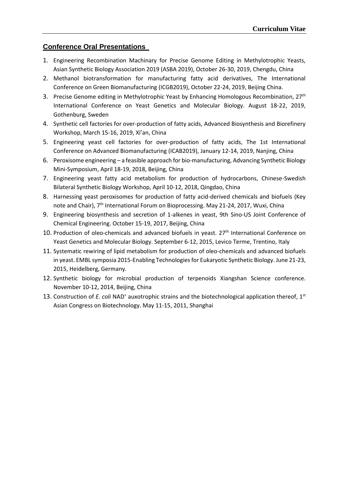#### **Conference Oral Presentations**

- 1. Engineering Recombination Machinary for Precise Genome Editing in Methylotrophic Yeasts, Asian Synthetic Biology Association 2019 (ASBA 2019), October 26-30, 2019, Chengdu, China
- 2. Methanol biotransformation for manufacturing fatty acid derivatives, The International Conference on Green Biomanufacturing (ICGB2019), October 22-24, 2019, Beijing China.
- 3. Precise Genome editing in Methylotrophic Yeast by Enhancing Homologous Recombination, 27<sup>th</sup> International Conference on Yeast Genetics and Molecular Biology. August 18-22, 2019, Gothenburg, Sweden
- 4. Synthetic cell factories for over-production of fatty acids, Advanced Biosynthesis and Biorefinery Workshop, March 15-16, 2019, Xi'an, China
- 5. Engineering yeast cell factories for over-production of fatty acids, The 1st International Conference on Advanced Biomanufacturing (ICAB2019), January 12-14, 2019, Nanjing, China
- 6. Peroxisome engineering a feasible approach for bio-manufacturing, Advancing Synthetic Biology Mini-Symposium, April 18-19, 2018, Beijing, China
- 7. Engineering yeast fatty acid metabolism for production of hydrocarbons, Chinese-Swedish Bilateral Synthetic Biology Workshop, April 10-12, 2018, Qingdao, China
- 8. Harnessing yeast peroxisomes for production of fatty acid-derived chemicals and biofuels (Key note and Chair), 7<sup>th</sup> International Forum on Bioprocessing. May 21-24, 2017, Wuxi, China
- 9. Engineering biosynthesis and secretion of 1-alkenes in yeast, 9th Sino-US Joint Conference of Chemical Engineering. October 15-19, 2017, Beijing, China
- 10. Production of oleo-chemicals and advanced biofuels in yeast. 27<sup>th</sup> International Conference on Yeast Genetics and Molecular Biology. September 6-12, 2015, Levico Terme, Trentino, Italy
- 11. Systematic rewiring of lipid metabolism for production of oleo-chemicals and advanced biofuels in yeast. EMBL symposia 2015-Enabling Technologies for Eukaryotic Synthetic Biology. June 21-23, 2015, Heidelberg, Germany.
- 12. Synthetic biology for microbial production of terpenoids Xiangshan Science conference. November 10-12, 2014, Beijing, China
- 13. Construction of *E. coli* NAD<sup>+</sup> auxotrophic strains and the biotechnological application thereof, 1<sup>st</sup> Asian Congress on Biotechnology. May 11-15, 2011, Shanghai